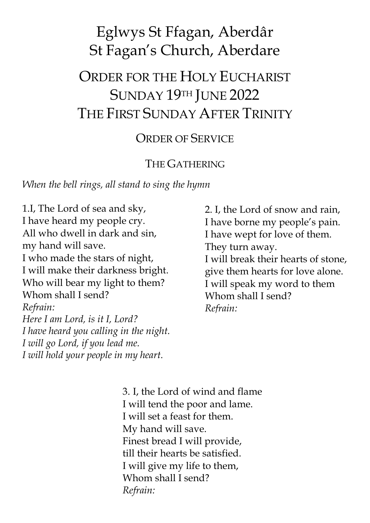# Eglwys St Ffagan, Aberdâr St Fagan's Church, Aberdare ORDER FOR THE HOLY EUCHARIST SUNDAY 19TH JUNE 2022 THE FIRST SUNDAY AFTER TRINITY

# ORDER OF SERVICE

# THE GATHERING

### *When the bell rings, all stand to sing the hymn*

1.I, The Lord of sea and sky, I have heard my people cry. All who dwell in dark and sin, my hand will save. I who made the stars of night, I will make their darkness bright. Who will bear my light to them? Whom shall I send? *Refrain: Here I am Lord, is it I, Lord? I have heard you calling in the night. I will go Lord, if you lead me. I will hold your people in my heart.*

2. I, the Lord of snow and rain, I have borne my people's pain. I have wept for love of them. They turn away. I will break their hearts of stone, give them hearts for love alone. I will speak my word to them Whom shall I send? *Refrain:*

3. I, the Lord of wind and flame I will tend the poor and lame. I will set a feast for them. My hand will save. Finest bread I will provide, till their hearts be satisfied. I will give my life to them, Whom shall I send? *Refrain:*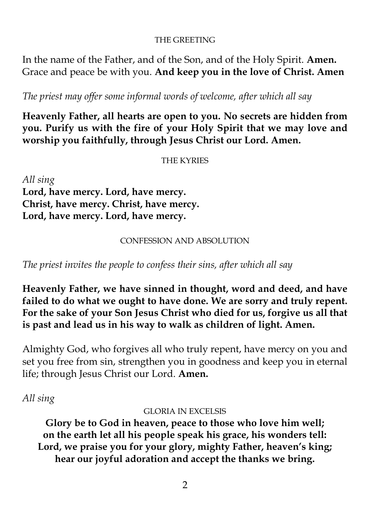#### THE GREETING

In the name of the Father, and of the Son, and of the Holy Spirit. **Amen.** Grace and peace be with you. **And keep you in the love of Christ. Amen**

*The priest may offer some informal words of welcome, after which all say*

**Heavenly Father, all hearts are open to you. No secrets are hidden from you. Purify us with the fire of your Holy Spirit that we may love and worship you faithfully, through Jesus Christ our Lord. Amen.**

### THE KYRIES

*All sing* **Lord, have mercy. Lord, have mercy. Christ, have mercy. Christ, have mercy. Lord, have mercy. Lord, have mercy.**

### CONFESSION AND ABSOLUTION

*The priest invites the people to confess their sins, after which all say*

**Heavenly Father, we have sinned in thought, word and deed, and have failed to do what we ought to have done. We are sorry and truly repent. For the sake of your Son Jesus Christ who died for us, forgive us all that is past and lead us in his way to walk as children of light. Amen.**

Almighty God, who forgives all who truly repent, have mercy on you and set you free from sin, strengthen you in goodness and keep you in eternal life; through Jesus Christ our Lord. **Amen.**

*All sing*

### GLORIA IN EXCELSIS

**Glory be to God in heaven, peace to those who love him well; on the earth let all his people speak his grace, his wonders tell: Lord, we praise you for your glory, mighty Father, heaven's king; hear our joyful adoration and accept the thanks we bring.**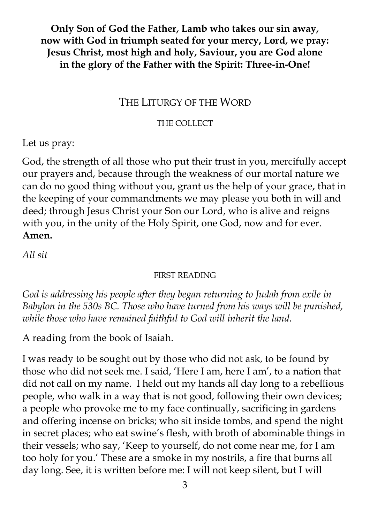# **Only Son of God the Father, Lamb who takes our sin away, now with God in triumph seated for your mercy, Lord, we pray: Jesus Christ, most high and holy, Saviour, you are God alone in the glory of the Father with the Spirit: Three-in-One!**

# THE LITURGY OF THE WORD

### THE COLLECT

Let us pray:

God, the strength of all those who put their trust in you, mercifully accept our prayers and, because through the weakness of our mortal nature we can do no good thing without you, grant us the help of your grace, that in the keeping of your commandments we may please you both in will and deed; through Jesus Christ your Son our Lord, who is alive and reigns with you, in the unity of the Holy Spirit, one God, now and for ever. **Amen.**

*All sit*

### FIRST READING

*God is addressing his people after they began returning to Judah from exile in Babylon in the 530s BC. Those who have turned from his ways will be punished, while those who have remained faithful to God will inherit the land.*

A reading from the book of Isaiah.

I was ready to be sought out by those who did not ask, to be found by those who did not seek me. I said, 'Here I am, here I am', to a nation that did not call on my name. I held out my hands all day long to a rebellious people, who walk in a way that is not good, following their own devices; a people who provoke me to my face continually, sacrificing in gardens and offering incense on bricks; who sit inside tombs, and spend the night in secret places; who eat swine's flesh, with broth of abominable things in their vessels; who say, 'Keep to yourself, do not come near me, for I am too holy for you.' These are a smoke in my nostrils, a fire that burns all day long. See, it is written before me: I will not keep silent, but I will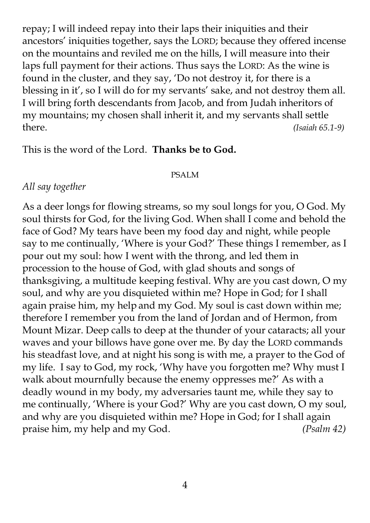repay; I will indeed repay into their laps their iniquities and their ancestors' iniquities together, says the LORD; because they offered incense on the mountains and reviled me on the hills, I will measure into their laps full payment for their actions. Thus says the LORD: As the wine is found in the cluster, and they say, 'Do not destroy it, for there is a blessing in it', so I will do for my servants' sake, and not destroy them all. I will bring forth descendants from Jacob, and from Judah inheritors of my mountains; my chosen shall inherit it, and my servants shall settle there. *(Isaiah 65.1-9)*

This is the word of the Lord. **Thanks be to God.**

#### PSALM

### *All say together*

As a deer longs for flowing streams, so my soul longs for you, O God. My soul thirsts for God, for the living God. When shall I come and behold the face of God? My tears have been my food day and night, while people say to me continually, 'Where is your God?' These things I remember, as I pour out my soul: how I went with the throng, and led them in procession to the house of God, with glad shouts and songs of thanksgiving, a multitude keeping festival. Why are you cast down, O my soul, and why are you disquieted within me? Hope in God; for I shall again praise him, my help and my God. My soul is cast down within me; therefore I remember you from the land of Jordan and of Hermon, from Mount Mizar. Deep calls to deep at the thunder of your cataracts; all your waves and your billows have gone over me. By day the LORD commands his steadfast love, and at night his song is with me, a prayer to the God of my life. I say to God, my rock, 'Why have you forgotten me? Why must I walk about mournfully because the enemy oppresses me?' As with a deadly wound in my body, my adversaries taunt me, while they say to me continually, 'Where is your God?' Why are you cast down, O my soul, and why are you disquieted within me? Hope in God; for I shall again praise him, my help and my God. *(Psalm 42)*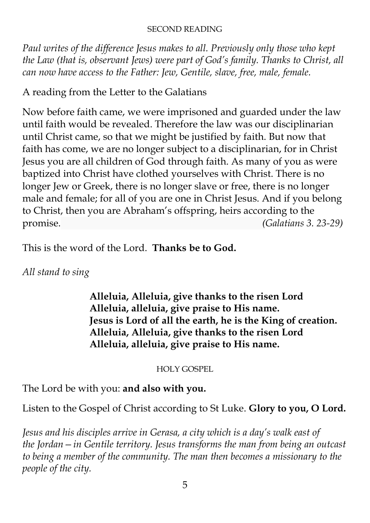#### SECOND READING

*Paul writes of the difference Jesus makes to all. Previously only those who kept the Law (that is, observant Jews) were part of God's family. Thanks to Christ, all can now have access to the Father: Jew, Gentile, slave, free, male, female.*

A reading from the Letter to the Galatians

Now before faith came, we were imprisoned and guarded under the law until faith would be revealed. Therefore the law was our disciplinarian until Christ came, so that we might be justified by faith. But now that faith has come, we are no longer subject to a disciplinarian, for in Christ Jesus you are all children of God through faith. As many of you as were baptized into Christ have clothed yourselves with Christ. There is no longer Jew or Greek, there is no longer slave or free, there is no longer male and female; for all of you are one in Christ Jesus. And if you belong to Christ, then you are Abraham's offspring, heirs according to the promise. *(Galatians 3. 23-29)*

This is the word of the Lord. **Thanks be to God.**

# *All stand to sing*

**Alleluia, Alleluia, give thanks to the risen Lord Alleluia, alleluia, give praise to His name. Jesus is Lord of all the earth, he is the King of creation. Alleluia, Alleluia, give thanks to the risen Lord Alleluia, alleluia, give praise to His name.**

### HOLY GOSPEL

The Lord be with you: **and also with you.**

Listen to the Gospel of Christ according to St Luke. **Glory to you, O Lord.**

*Jesus and his disciples arrive in Gerasa, a city which is a day's walk east of the Jordan—in Gentile territory. Jesus transforms the man from being an outcast to being a member of the community. The man then becomes a missionary to the people of the city.*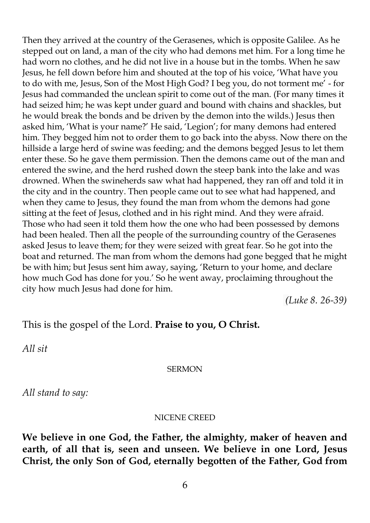Then they arrived at the country of the Gerasenes, which is opposite Galilee. As he stepped out on land, a man of the city who had demons met him. For a long time he had worn no clothes, and he did not live in a house but in the tombs. When he saw Jesus, he fell down before him and shouted at the top of his voice, 'What have you to do with me, Jesus, Son of the Most High God? I beg you, do not torment me' - for Jesus had commanded the unclean spirit to come out of the man. (For many times it had seized him; he was kept under guard and bound with chains and shackles, but he would break the bonds and be driven by the demon into the wilds.) Jesus then asked him, 'What is your name?' He said, 'Legion'; for many demons had entered him. They begged him not to order them to go back into the abyss. Now there on the hillside a large herd of swine was feeding; and the demons begged Jesus to let them enter these. So he gave them permission. Then the demons came out of the man and entered the swine, and the herd rushed down the steep bank into the lake and was drowned. When the swineherds saw what had happened, they ran off and told it in the city and in the country. Then people came out to see what had happened, and when they came to Jesus, they found the man from whom the demons had gone sitting at the feet of Jesus, clothed and in his right mind. And they were afraid. Those who had seen it told them how the one who had been possessed by demons had been healed. Then all the people of the surrounding country of the Gerasenes asked Jesus to leave them; for they were seized with great fear. So he got into the boat and returned. The man from whom the demons had gone begged that he might be with him; but Jesus sent him away, saying, 'Return to your home, and declare how much God has done for you.' So he went away, proclaiming throughout the city how much Jesus had done for him.

*(Luke 8. 26-39)*

This is the gospel of the Lord. **Praise to you, O Christ.**

*All sit*

#### **SERMON**

*All stand to say:*

#### NICENE CREED

**We believe in one God, the Father, the almighty, maker of heaven and earth, of all that is, seen and unseen. We believe in one Lord, Jesus Christ, the only Son of God, eternally begotten of the Father, God from**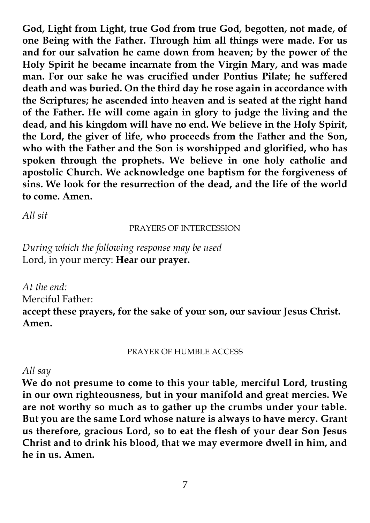**God, Light from Light, true God from true God, begotten, not made, of one Being with the Father. Through him all things were made. For us and for our salvation he came down from heaven; by the power of the Holy Spirit he became incarnate from the Virgin Mary, and was made man. For our sake he was crucified under Pontius Pilate; he suffered death and was buried. On the third day he rose again in accordance with the Scriptures; he ascended into heaven and is seated at the right hand of the Father. He will come again in glory to judge the living and the dead, and his kingdom will have no end. We believe in the Holy Spirit, the Lord, the giver of life, who proceeds from the Father and the Son, who with the Father and the Son is worshipped and glorified, who has spoken through the prophets. We believe in one holy catholic and apostolic Church. We acknowledge one baptism for the forgiveness of sins. We look for the resurrection of the dead, and the life of the world to come. Amen.**

*All sit*

#### PRAYERS OF INTERCESSION

*During which the following response may be used* Lord, in your mercy: **Hear our prayer.**

*At the end:* Merciful Father: **accept these prayers, for the sake of your son, our saviour Jesus Christ. Amen.**

#### PRAYER OF HUMBLE ACCESS

*All say* 

**We do not presume to come to this your table, merciful Lord, trusting in our own righteousness, but in your manifold and great mercies. We are not worthy so much as to gather up the crumbs under your table. But you are the same Lord whose nature is always to have mercy. Grant us therefore, gracious Lord, so to eat the flesh of your dear Son Jesus Christ and to drink his blood, that we may evermore dwell in him, and he in us. Amen.**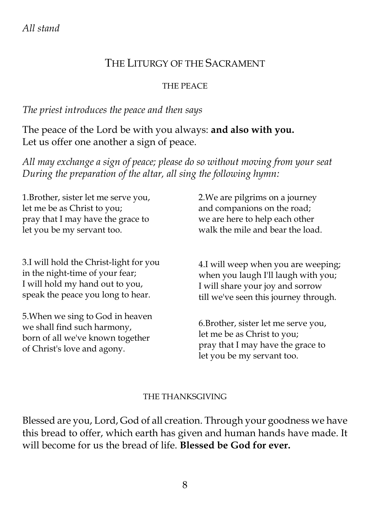# THE LITURGY OF THE SACRAMENT

### THE PEACE

# *The priest introduces the peace and then says*

The peace of the Lord be with you always: **and also with you.** Let us offer one another a sign of peace.

*All may exchange a sign of peace; please do so without moving from your seat During the preparation of the altar, all sing the following hymn:*

1.Brother, sister let me serve you, let me be as Christ to you; pray that I may have the grace to let you be my servant too.

3.I will hold the Christ-light for you in the night-time of your fear; I will hold my hand out to you, speak the peace you long to hear.

5.When we sing to God in heaven we shall find such harmony, born of all we've known together of Christ's love and agony.

2.We are pilgrims on a journey and companions on the road; we are here to help each other walk the mile and bear the load.

4.I will weep when you are weeping; when you laugh I'll laugh with you; I will share your joy and sorrow till we've seen this journey through.

6.Brother, sister let me serve you, let me be as Christ to you; pray that I may have the grace to let you be my servant too.

### THE THANKSGIVING

Blessed are you, Lord, God of all creation. Through your goodness we have this bread to offer, which earth has given and human hands have made. It will become for us the bread of life. **Blessed be God for ever.**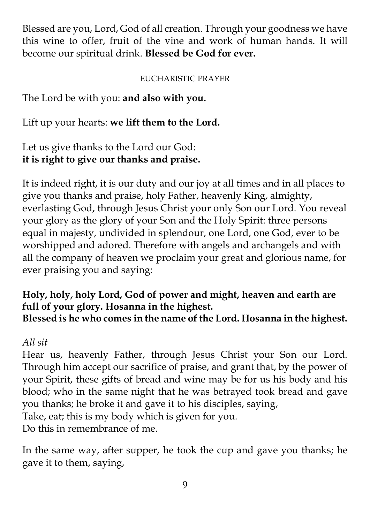Blessed are you, Lord, God of all creation. Through your goodness we have this wine to offer, fruit of the vine and work of human hands. It will become our spiritual drink. **Blessed be God for ever.**

### EUCHARISTIC PRAYER

# The Lord be with you: **and also with you.**

Lift up your hearts: **we lift them to the Lord.**

# Let us give thanks to the Lord our God: **it is right to give our thanks and praise.**

It is indeed right, it is our duty and our joy at all times and in all places to give you thanks and praise, holy Father, heavenly King, almighty, everlasting God, through Jesus Christ your only Son our Lord. You reveal your glory as the glory of your Son and the Holy Spirit: three persons equal in majesty, undivided in splendour, one Lord, one God, ever to be worshipped and adored. Therefore with angels and archangels and with all the company of heaven we proclaim your great and glorious name, for ever praising you and saying:

# **Holy, holy, holy Lord, God of power and might, heaven and earth are full of your glory. Hosanna in the highest.**

**Blessed is he who comes in the name of the Lord. Hosanna in the highest.**

# *All sit*

Hear us, heavenly Father, through Jesus Christ your Son our Lord. Through him accept our sacrifice of praise, and grant that, by the power of your Spirit, these gifts of bread and wine may be for us his body and his blood; who in the same night that he was betrayed took bread and gave you thanks; he broke it and gave it to his disciples, saying, Take, eat; this is my body which is given for you.

Do this in remembrance of me.

In the same way, after supper, he took the cup and gave you thanks; he gave it to them, saying,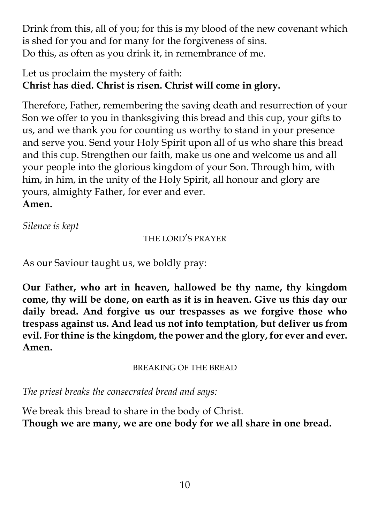Drink from this, all of you; for this is my blood of the new covenant which is shed for you and for many for the forgiveness of sins. Do this, as often as you drink it, in remembrance of me.

# Let us proclaim the mystery of faith: **Christ has died. Christ is risen. Christ will come in glory.**

Therefore, Father, remembering the saving death and resurrection of your Son we offer to you in thanksgiving this bread and this cup, your gifts to us, and we thank you for counting us worthy to stand in your presence and serve you. Send your Holy Spirit upon all of us who share this bread and this cup. Strengthen our faith, make us one and welcome us and all your people into the glorious kingdom of your Son. Through him, with him, in him, in the unity of the Holy Spirit, all honour and glory are yours, almighty Father, for ever and ever. **Amen.**

*Silence is kept*

# THE LORD'S PRAYER

As our Saviour taught us, we boldly pray:

**Our Father, who art in heaven, hallowed be thy name, thy kingdom come, thy will be done, on earth as it is in heaven. Give us this day our daily bread. And forgive us our trespasses as we forgive those who trespass against us. And lead us not into temptation, but deliver us from evil. For thine is the kingdom, the power and the glory, for ever and ever. Amen.**

BREAKING OF THE BREAD

*The priest breaks the consecrated bread and says:*

We break this bread to share in the body of Christ. **Though we are many, we are one body for we all share in one bread.**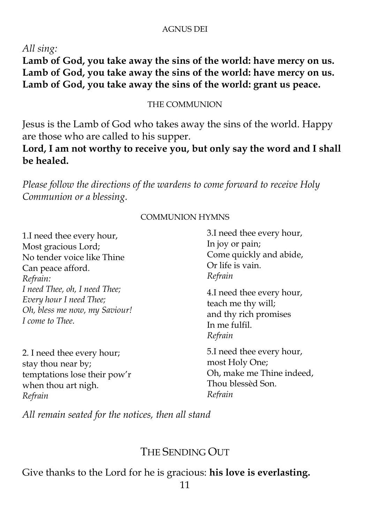#### AGNUS DEI

*All sing:*

**Lamb of God, you take away the sins of the world: have mercy on us. Lamb of God, you take away the sins of the world: have mercy on us. Lamb of God, you take away the sins of the world: grant us peace.**

### THE COMMUNION

Jesus is the Lamb of God who takes away the sins of the world. Happy are those who are called to his supper.

**Lord, I am not worthy to receive you, but only say the word and I shall be healed.**

*Please follow the directions of the wardens to come forward to receive Holy Communion or a blessing.*

### COMMUNION HYMNS

1.I need thee every hour, Most gracious Lord; No tender voice like Thine Can peace afford. *Refrain: I need Thee, oh, I need Thee; Every hour I need Thee; Oh, bless me now, my Saviour! I come to Thee.*

2. I need thee every hour; stay thou near by; temptations lose their pow'r when thou art nigh. *Refrain*

3.I need thee every hour, In joy or pain; Come quickly and abide, Or life is vain. *Refrain*

4.I need thee every hour, teach me thy will; and thy rich promises In me fulfil. *Refrain*

5.I need thee every hour, most Holy One; Oh, make me Thine indeed, Thou blessèd Son. *Refrain*

*All remain seated for the notices, then all stand*

# THE SENDING OUT

Give thanks to the Lord for he is gracious: **his love is everlasting.**